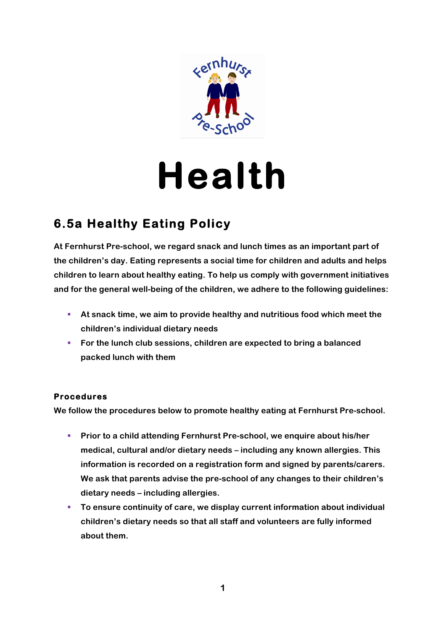

# **Health**

# **6.5a Healthy Eating Policy**

**At Fernhurst Pre-school, we regard snack and lunch times as an important part of the children's day. Eating represents a social time for children and adults and helps children to learn about healthy eating. To help us comply with government initiatives and for the general well-being of the children, we adhere to the following guidelines:**

- § **At snack time, we aim to provide healthy and nutritious food which meet the children's individual dietary needs**
- § **For the lunch club sessions, children are expected to bring a balanced packed lunch with them**

## **Procedures**

**We follow the procedures below to promote healthy eating at Fernhurst Pre-school.**

- § **Prior to a child attending Fernhurst Pre-school, we enquire about his/her medical, cultural and/or dietary needs – including any known allergies. This information is recorded on a registration form and signed by parents/carers. We ask that parents advise the pre-school of any changes to their children's dietary needs – including allergies.**
- **To ensure continuity of care, we display current information about individual children's dietary needs so that all staff and volunteers are fully informed about them.**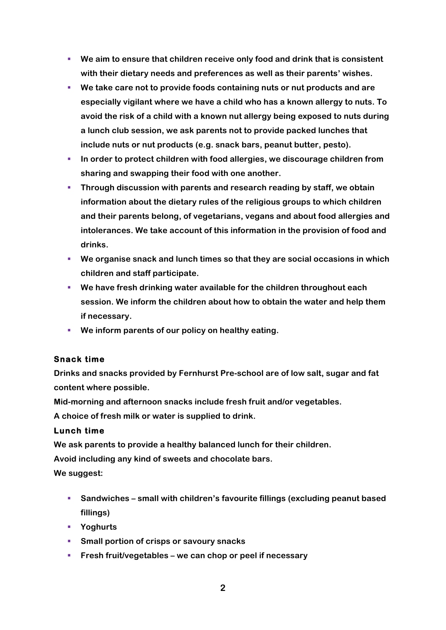- § **We aim to ensure that children receive only food and drink that is consistent with their dietary needs and preferences as well as their parents' wishes.**
- § **We take care not to provide foods containing nuts or nut products and are especially vigilant where we have a child who has a known allergy to nuts. To avoid the risk of a child with a known nut allergy being exposed to nuts during a lunch club session, we ask parents not to provide packed lunches that include nuts or nut products (e.g. snack bars, peanut butter, pesto).**
- **IDED 10 In order to protect children with food allergies, we discourage children from sharing and swapping their food with one another.**
- § **Through discussion with parents and research reading by staff, we obtain information about the dietary rules of the religious groups to which children and their parents belong, of vegetarians, vegans and about food allergies and intolerances. We take account of this information in the provision of food and drinks.**
- § **We organise snack and lunch times so that they are social occasions in which children and staff participate.**
- § **We have fresh drinking water available for the children throughout each session. We inform the children about how to obtain the water and help them if necessary.**
- We inform parents of our policy on healthy eating.

## **Snack time**

**Drinks and snacks provided by Fernhurst Pre-school are of low salt, sugar and fat content where possible.**

**Mid-morning and afternoon snacks include fresh fruit and/or vegetables.**

**A choice of fresh milk or water is supplied to drink.**

#### **Lunch time**

**We ask parents to provide a healthy balanced lunch for their children.**

**Avoid including any kind of sweets and chocolate bars.**

**We suggest:**

- § **Sandwiches – small with children's favourite fillings (excluding peanut based fillings)**
- § **Yoghurts**
- Small portion of crisps or savoury snacks
- § **Fresh fruit/vegetables – we can chop or peel if necessary**